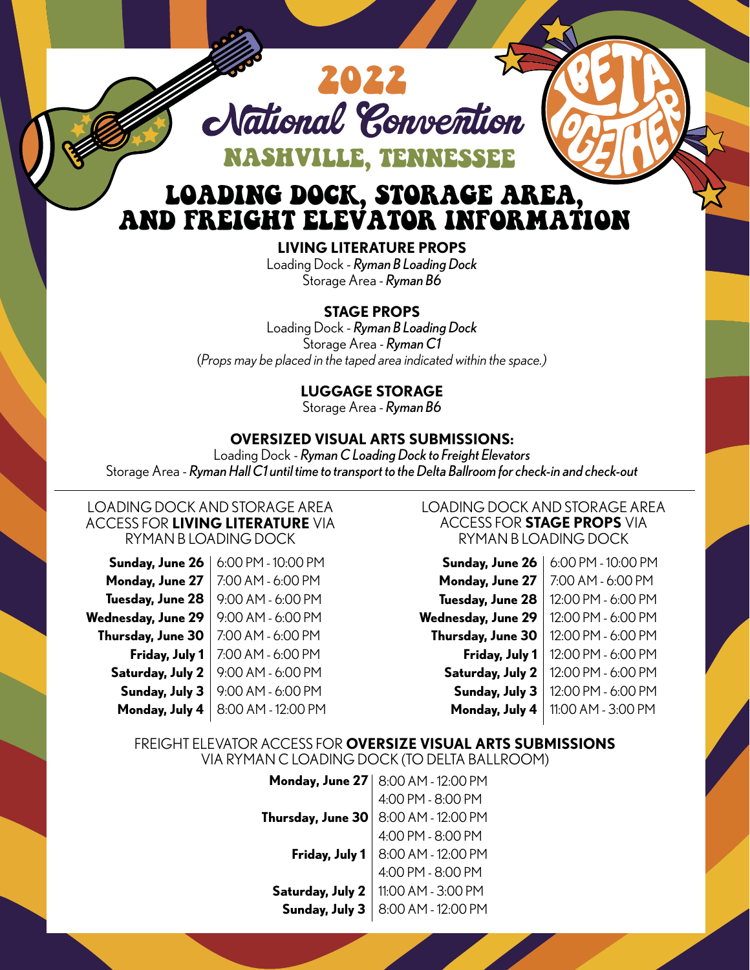

# LOADING DOCK, STORAGE AREA, AND FREIGHT ELEVATOR INFORMATION

**LIVING LITERATURE PROPS**  Loading Dock - *Ryman B Loading Dock* Storage Area - *Ryman B6* 

### **STAGE PROPS**

Loading Dock - *Ryman B Loading Dock* Storage Area - *Ryman C1* (*Props may be placed in the taped area indicated within the space.)*

## **LUGGAGE STORAGE**

Storage Area - *Ryman B6*

## **OVERSIZED VISUAL ARTS SUBMISSIONS:**

Loading Dock - *Ryman C Loading Dock to Freight Elevators*  Storage Area - *Ryman Hall C1 until time to transport to the Delta Ballroom for check-in and check-out*

#### LOADING DOCK AND STORAGE AREA ACCESS FOR **LIVING LITERATURE** VIA RYMAN B LOADING DOCK

| Sunday, June 26    | 6:00 PM - 10:00 PM |
|--------------------|--------------------|
| Monday, June 27    | 7:00 AM - 6:00 PM  |
| Tuesday, June 28   | 9:00 AM - 6:00 PM  |
| Wednesday, June 29 | 9:00 AM - 6:00 PM  |
| Thursday, June 30  | 7:00 AM - 6:00 PM  |
| Friday, July 1     | 7:00 AM - 6:00 PM  |
| Saturday, July 2   | 9:00 AM - 6:00 PM  |
| Sunday, July 3     | 9:00 AM - 6:00 PM  |
| Monday, July 4     | 8:00 AM - 12:00 PM |
|                    |                    |

#### LOADING DOCK AND STORAGE AREA ACCESS FOR **STAGE PROPS** VIA RYMAN B LOADING DOCK

| Sunday, June 26           | 6:00 PM - 10:00 PM |
|---------------------------|--------------------|
| Monday, June 27           | 7:00 AM - 6:00 PM  |
| Tuesday, June 28          | 12:00 PM - 6:00 PM |
| <b>Wednesday, June 29</b> | 12:00 PM - 6:00 PM |
| Thursday, June 30         | 12:00 PM - 6:00 PM |
| Friday, July 1            | 12:00 PM - 6:00 PM |
| Saturday, July 2          | 12:00 PM - 6:00 PM |
| Sunday, July 3            | 12:00 PM - 6:00 PM |
| Monday, July 4            | 11:00 AM - 3:00 PM |

#### FREIGHT ELEVATOR ACCESS FOR **OVERSIZE VISUAL ARTS SUBMISSIONS** VIA RYMAN C LOADING DOCK (TO DELTA BALLROOM)

**Monday, June 27** 8:00 AM - 12:00 PM **Thursday, June 30 Friday, July 1 Saturday, July 2 Sunday, July 3** 4:00 PM - 8:00 PM 8:00 AM - 12:00 PM 4:00 PM - 8:00 PM 8:00 AM - 12:00 PM 4:00 PM - 8:00 PM 11:00 AM - 3:00 PM 8:00 AM - 12:00 PM